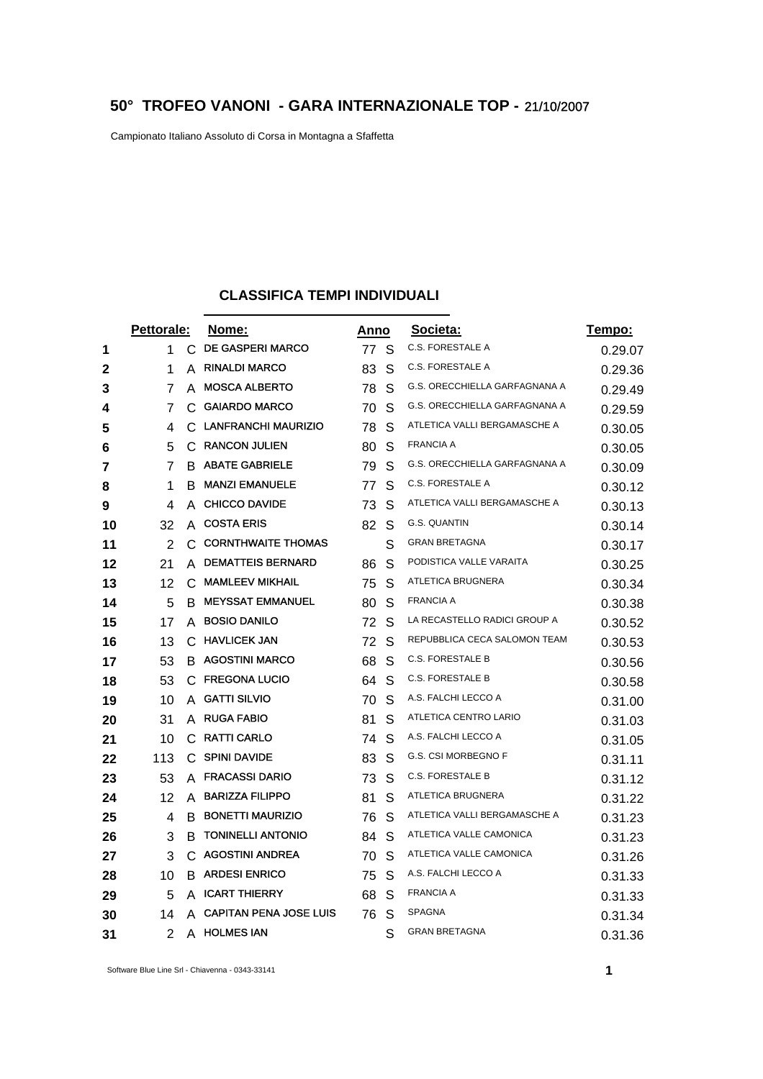## **50° TROFEO VANONI - GARA INTERNAZIONALE TOP -** 21/10/2007

Campionato Italiano Assoluto di Corsa in Montagna a Sfaffetta

## **CLASSIFICA TEMPI INDIVIDUALI**

|    | Pettorale: |    | Nome:                         | Anno |   | Societa:                      | <u>Tempo:</u> |
|----|------------|----|-------------------------------|------|---|-------------------------------|---------------|
| 1  | 1          | C  | <b>DE GASPERI MARCO</b>       | 77   | S | <b>C.S. FORESTALE A</b>       | 0.29.07       |
| 2  | 1          | A  | <b>RINALDI MARCO</b>          | 83   | S | <b>C.S. FORESTALE A</b>       | 0.29.36       |
| 3  | 7          | A  | <b>MOSCA ALBERTO</b>          | 78   | S | G.S. ORECCHIELLA GARFAGNANA A | 0.29.49       |
| 4  | 7          | C  | <b>GAIARDO MARCO</b>          | 70   | S | G.S. ORECCHIELLA GARFAGNANA A | 0.29.59       |
| 5  | 4          |    | C LANFRANCHI MAURIZIO         | 78   | S | ATLETICA VALLI BERGAMASCHE A  | 0.30.05       |
| 6  | 5          | C  | <b>RANCON JULIEN</b>          | 80   | S | <b>FRANCIA A</b>              | 0.30.05       |
| 7  | 7          |    | <b>B ABATE GABRIELE</b>       | 79   | S | G.S. ORECCHIELLA GARFAGNANA A | 0.30.09       |
| 8  | 1          | В  | <b>MANZI EMANUELE</b>         | 77   | S | C.S. FORESTALE A              | 0.30.12       |
| 9  | 4          | A  | <b>CHICCO DAVIDE</b>          | 73   | S | ATLETICA VALLI BERGAMASCHE A  | 0.30.13       |
| 10 | 32         | A  | <b>COSTA ERIS</b>             | 82   | S | G.S. QUANTIN                  | 0.30.14       |
| 11 | 2          |    | C CORNTHWAITE THOMAS          |      | S | <b>GRAN BRETAGNA</b>          | 0.30.17       |
| 12 | 21         | A  | <b>DEMATTEIS BERNARD</b>      | 86   | S | PODISTICA VALLE VARAITA       | 0.30.25       |
| 13 | 12         | C  | <b>MAMLEEV MIKHAIL</b>        | 75   | S | ATLETICA BRUGNERA             | 0.30.34       |
| 14 | 5          | B. | <b>MEYSSAT EMMANUEL</b>       | 80   | S | <b>FRANCIA A</b>              | 0.30.38       |
| 15 | 17         | A  | <b>BOSIO DANILO</b>           | 72   | S | LA RECASTELLO RADICI GROUP A  | 0.30.52       |
| 16 | 13         | C. | <b>HAVLICEK JAN</b>           | 72   | S | REPUBBLICA CECA SALOMON TEAM  | 0.30.53       |
| 17 | 53         |    | <b>B AGOSTINI MARCO</b>       | 68   | S | <b>C.S. FORESTALE B</b>       | 0.30.56       |
| 18 | 53         | C  | <b>FREGONA LUCIO</b>          | 64   | S | <b>C.S. FORESTALE B</b>       | 0.30.58       |
| 19 | 10         | A  | <b>GATTI SILVIO</b>           | 70   | S | A.S. FALCHI LECCO A           | 0.31.00       |
| 20 | 31         | A  | <b>RUGA FABIO</b>             | 81   | S | ATLETICA CENTRO LARIO         | 0.31.03       |
| 21 | 10         | С  | <b>RATTI CARLO</b>            | 74   | S | A.S. FALCHI LECCO A           | 0.31.05       |
| 22 | 113        | C. | <b>SPINI DAVIDE</b>           | 83   | S | G.S. CSI MORBEGNO F           | 0.31.11       |
| 23 | 53         | A  | <b>FRACASSI DARIO</b>         | 73   | S | <b>C.S. FORESTALE B</b>       | 0.31.12       |
| 24 | 12         |    | A BARIZZA FILIPPO             | 81   | S | ATLETICA BRUGNERA             | 0.31.22       |
| 25 | 4          | B  | <b>BONETTI MAURIZIO</b>       | 76   | S | ATLETICA VALLI BERGAMASCHE A  | 0.31.23       |
| 26 | 3          | В  | <b>TONINELLI ANTONIO</b>      | 84   | S | ATLETICA VALLE CAMONICA       | 0.31.23       |
| 27 | 3          | C  | <b>AGOSTINI ANDREA</b>        | 70   | S | ATLETICA VALLE CAMONICA       | 0.31.26       |
| 28 | 10         | B  | <b>ARDESI ENRICO</b>          | 75   | S | A.S. FALCHI LECCO A           | 0.31.33       |
| 29 | 5          | A  | <b>ICART THIERRY</b>          | 68   | S | <b>FRANCIA A</b>              | 0.31.33       |
| 30 | 14         | A  | <b>CAPITAN PENA JOSE LUIS</b> | 76   | S | <b>SPAGNA</b>                 | 0.31.34       |
| 31 | 2          |    | A HOLMES IAN                  |      | S | <b>GRAN BRETAGNA</b>          | 0.31.36       |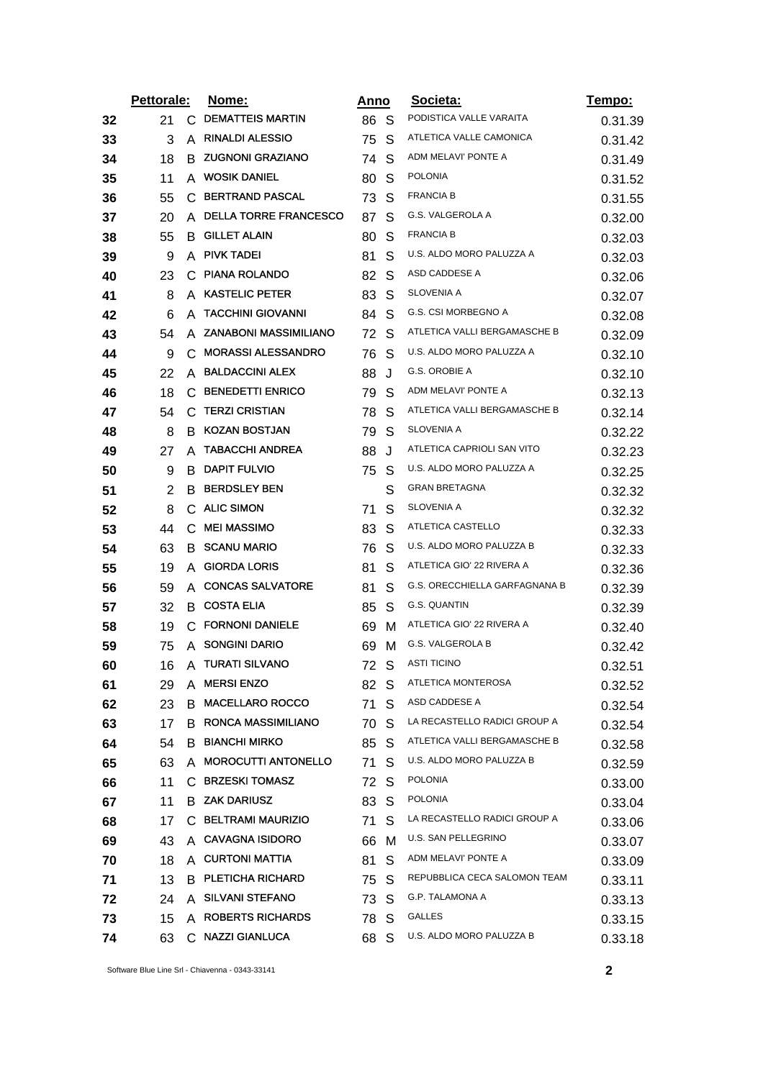|    | Pettorale: |    | <u>Nome:</u>                | Anno |   | Societa:                      | <u>Tempo:</u> |
|----|------------|----|-----------------------------|------|---|-------------------------------|---------------|
| 32 | 21         | C. | <b>DEMATTEIS MARTIN</b>     | 86 S |   | PODISTICA VALLE VARAITA       | 0.31.39       |
| 33 | 3          | A  | <b>RINALDI ALESSIO</b>      | 75   | S | ATLETICA VALLE CAMONICA       | 0.31.42       |
| 34 | 18         | B  | <b>ZUGNONI GRAZIANO</b>     | 74   | S | ADM MELAVI' PONTE A           | 0.31.49       |
| 35 | 11         | A  | <b>WOSIK DANIEL</b>         | 80   | S | <b>POLONIA</b>                | 0.31.52       |
| 36 | 55         | С  | <b>BERTRAND PASCAL</b>      | 73   | S | <b>FRANCIA B</b>              | 0.31.55       |
| 37 | 20         |    | A DELLA TORRE FRANCESCO     | 87   | S | G.S. VALGEROLA A              | 0.32.00       |
| 38 | 55         | В  | <b>GILLET ALAIN</b>         | 80   | S | <b>FRANCIA B</b>              | 0.32.03       |
| 39 | 9          |    | A PIVK TADEI                | 81   | S | U.S. ALDO MORO PALUZZA A      | 0.32.03       |
| 40 | 23         | C  | <b>PIANA ROLANDO</b>        | 82   | S | ASD CADDESE A                 | 0.32.06       |
| 41 | 8          |    | A KASTELIC PETER            | 83   | S | SLOVENIA A                    | 0.32.07       |
| 42 | 6          | A  | <b>TACCHINI GIOVANNI</b>    | 84   | S | G.S. CSI MORBEGNO A           | 0.32.08       |
| 43 | 54         |    | A ZANABONI MASSIMILIANO     | 72   | S | ATLETICA VALLI BERGAMASCHE B  | 0.32.09       |
| 44 | 9          | C  | <b>MORASSI ALESSANDRO</b>   | 76   | S | U.S. ALDO MORO PALUZZA A      | 0.32.10       |
| 45 | 22         |    | A BALDACCINI ALEX           | 88   | J | G.S. OROBIE A                 | 0.32.10       |
| 46 | 18         | С  | <b>BENEDETTI ENRICO</b>     | 79   | S | ADM MELAVI' PONTE A           | 0.32.13       |
| 47 | 54         |    | C TERZI CRISTIAN            | 78   | S | ATLETICA VALLI BERGAMASCHE B  | 0.32.14       |
| 48 | 8          |    | <b>B KOZAN BOSTJAN</b>      | 79   | S | SLOVENIA A                    | 0.32.22       |
| 49 | 27         |    | A TABACCHI ANDREA           | 88   | J | ATLETICA CAPRIOLI SAN VITO    | 0.32.23       |
| 50 | 9          | В  | <b>DAPIT FULVIO</b>         | 75   | S | U.S. ALDO MORO PALUZZA A      | 0.32.25       |
| 51 | 2          |    | <b>B BERDSLEY BEN</b>       |      | S | <b>GRAN BRETAGNA</b>          | 0.32.32       |
| 52 | 8          |    | C ALIC SIMON                | 71   | S | SLOVENIA A                    | 0.32.32       |
| 53 | 44         | С  | <b>MEI MASSIMO</b>          | 83   | S | ATLETICA CASTELLO             | 0.32.33       |
| 54 | 63         |    | <b>B SCANU MARIO</b>        | 76   | S | U.S. ALDO MORO PALUZZA B      | 0.32.33       |
| 55 | 19         |    | A GIORDA LORIS              | 81   | S | ATLETICA GIO' 22 RIVERA A     | 0.32.36       |
| 56 | 59         |    | A CONCAS SALVATORE          | 81   | S | G.S. ORECCHIELLA GARFAGNANA B | 0.32.39       |
| 57 | 32         |    | <b>B</b> COSTA ELIA         | 85   | S | G.S. QUANTIN                  | 0.32.39       |
| 58 | 19         |    | C FORNONI DANIELE           | 69   | м | ATLETICA GIO' 22 RIVERA A     | 0.32.40       |
| 59 | 75         |    | A SONGINI DARIO             | 69   | M | G.S. VALGEROLA B              | 0.32.42       |
| 60 | 16         | A  | <b>TURATI SILVANO</b>       | 72   | S | ASTI TICINO                   | 0.32.51       |
| 61 | 29         |    | A MERSI ENZO                | 82 S |   | ATLETICA MONTEROSA            | 0.32.52       |
| 62 | 23         | B  | <b>MACELLARO ROCCO</b>      | 71   | S | ASD CADDESE A                 | 0.32.54       |
| 63 | 17         |    | <b>B RONCA MASSIMILIANO</b> | 70   | S | LA RECASTELLO RADICI GROUP A  | 0.32.54       |
| 64 | 54         |    | <b>B BIANCHI MIRKO</b>      | 85   | S | ATLETICA VALLI BERGAMASCHE B  | 0.32.58       |
| 65 | 63         |    | A MOROCUTTI ANTONELLO       | 71   | S | U.S. ALDO MORO PALUZZA B      | 0.32.59       |
| 66 | 11         |    | C BRZESKI TOMASZ            | 72   | S | <b>POLONIA</b>                | 0.33.00       |
| 67 | 11         |    | <b>B ZAK DARIUSZ</b>        | 83   | S | <b>POLONIA</b>                | 0.33.04       |
| 68 | 17         |    | C BELTRAMI MAURIZIO         | 71   | S | LA RECASTELLO RADICI GROUP A  | 0.33.06       |
| 69 | 43         |    | A CAVAGNA ISIDORO           | 66   | м | U.S. SAN PELLEGRINO           | 0.33.07       |
| 70 | 18         |    | A CURTONI MATTIA            | 81   | S | ADM MELAVI' PONTE A           | 0.33.09       |
| 71 | 13         |    | B PLETICHA RICHARD          | 75 S |   | REPUBBLICA CECA SALOMON TEAM  | 0.33.11       |
| 72 | 24         |    | A SILVANI STEFANO           | 73 S |   | G.P. TALAMONA A               | 0.33.13       |
| 73 | 15         |    | A ROBERTS RICHARDS          | 78 S |   | GALLES                        | 0.33.15       |
| 74 | 63         |    | C NAZZI GIANLUCA            | 68 S |   | U.S. ALDO MORO PALUZZA B      | 0.33.18       |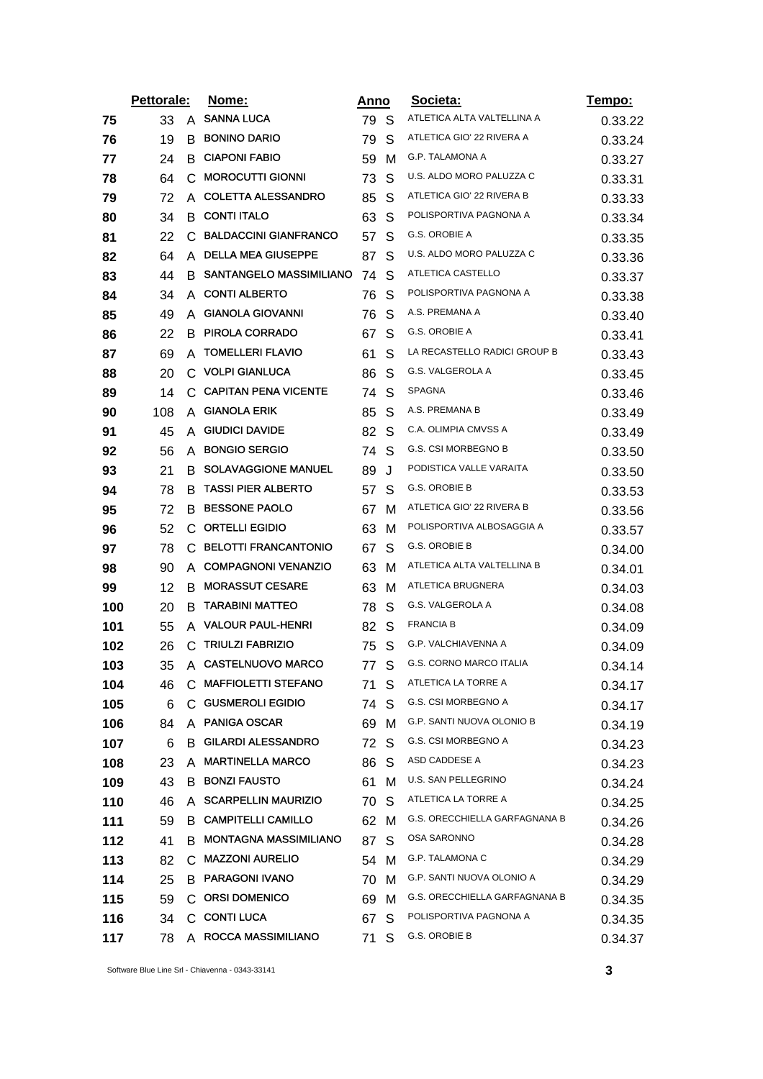|     | Pettorale: |    | Nome:                        | Anno |              | <u>Societa:</u>               | Tempo:  |
|-----|------------|----|------------------------------|------|--------------|-------------------------------|---------|
| 75  | 33         | A  | <b>SANNA LUCA</b>            | 79 S |              | ATLETICA ALTA VALTELLINA A    | 0.33.22 |
| 76  | 19         | B  | <b>BONINO DARIO</b>          | 79   | S            | ATLETICA GIO' 22 RIVERA A     | 0.33.24 |
| 77  | 24         | B  | <b>CIAPONI FABIO</b>         | 59   | м            | G.P. TALAMONA A               | 0.33.27 |
| 78  | 64         | C  | <b>MOROCUTTI GIONNI</b>      | 73   | S            | U.S. ALDO MORO PALUZZA C      | 0.33.31 |
| 79  | 72         | A  | <b>COLETTA ALESSANDRO</b>    | 85   | S            | ATLETICA GIO' 22 RIVERA B     | 0.33.33 |
| 80  | 34         | B  | <b>CONTI ITALO</b>           | 63   | S            | POLISPORTIVA PAGNONA A        | 0.33.34 |
| 81  | 22         | C  | <b>BALDACCINI GIANFRANCO</b> | 57   | S            | G.S. OROBIE A                 | 0.33.35 |
| 82  | 64         | A  | <b>DELLA MEA GIUSEPPE</b>    | 87   | S            | U.S. ALDO MORO PALUZZA C      | 0.33.36 |
| 83  | 44         | B. | SANTANGELO MASSIMILIANO      | 74   | S            | ATLETICA CASTELLO             | 0.33.37 |
| 84  | 34         | A  | <b>CONTI ALBERTO</b>         | 76   | S            | POLISPORTIVA PAGNONA A        | 0.33.38 |
| 85  | 49         | A  | <b>GIANOLA GIOVANNI</b>      | 76   | S            | A.S. PREMANA A                | 0.33.40 |
| 86  | 22         |    | <b>B PIROLA CORRADO</b>      | 67   | S            | G.S. OROBIE A                 | 0.33.41 |
| 87  | 69         | A  | <b>TOMELLERI FLAVIO</b>      | 61   | S            | LA RECASTELLO RADICI GROUP B  | 0.33.43 |
| 88  | 20         |    | C. VOLPI GIANLUCA            | 86   | S            | G.S. VALGEROLA A              | 0.33.45 |
| 89  | 14         | C  | <b>CAPITAN PENA VICENTE</b>  | 74   | S            | SPAGNA                        | 0.33.46 |
| 90  | 108        | A  | <b>GIANOLA ERIK</b>          | 85   | S            | A.S. PREMANA B                | 0.33.49 |
| 91  | 45         | A  | <b>GIUDICI DAVIDE</b>        | 82   | S            | C.A. OLIMPIA CMVSS A          | 0.33.49 |
| 92  | 56         | A  | <b>BONGIO SERGIO</b>         | 74   | S            | G.S. CSI MORBEGNO B           | 0.33.50 |
| 93  | 21         | B. | <b>SOLAVAGGIONE MANUEL</b>   | 89   | J            | PODISTICA VALLE VARAITA       | 0.33.50 |
| 94  | 78         | B  | <b>TASSI PIER ALBERTO</b>    | 57   | S            | G.S. OROBIE B                 | 0.33.53 |
| 95  | 72         | B  | <b>BESSONE PAOLO</b>         | 67   | м            | ATLETICA GIO' 22 RIVERA B     | 0.33.56 |
| 96  | 52         | C  | <b>ORTELLI EGIDIO</b>        | 63   | м            | POLISPORTIVA ALBOSAGGIA A     | 0.33.57 |
| 97  | 78         | C. | <b>BELOTTI FRANCANTONIO</b>  | 67   | S            | G.S. OROBIE B                 | 0.34.00 |
| 98  | 90         | A  | <b>COMPAGNONI VENANZIO</b>   | 63   | м            | ATLETICA ALTA VALTELLINA B    | 0.34.01 |
| 99  | 12         | B  | <b>MORASSUT CESARE</b>       | 63   | м            | ATLETICA BRUGNERA             | 0.34.03 |
| 100 | 20         | B  | <b>TARABINI MATTEO</b>       | 78   | S            | G.S. VALGEROLA A              | 0.34.08 |
| 101 | 55         | A  | <b>VALOUR PAUL-HENRI</b>     | 82   | <sub>S</sub> | <b>FRANCIA B</b>              | 0.34.09 |
| 102 | 26         | C  | <b>TRIULZI FABRIZIO</b>      | 75   | - S          | <b>G.P. VALCHIAVENNA A</b>    | 0.34.09 |
| 103 | 35         | A  | <b>CASTELNUOVO MARCO</b>     | 77   | S            | G.S. CORNO MARCO ITALIA       | 0.34.14 |
| 104 | 46         | C. | <b>MAFFIOLETTI STEFANO</b>   | 71   | S            | ATLETICA LA TORRE A           | 0.34.17 |
| 105 | 6          | C. | <b>GUSMEROLI EGIDIO</b>      | 74   | S            | G.S. CSI MORBEGNO A           | 0.34.17 |
| 106 | 84         |    | A PANIGA OSCAR               | 69   | M            | G.P. SANTI NUOVA OLONIO B     | 0.34.19 |
| 107 | 6          | B. | <b>GILARDI ALESSANDRO</b>    | 72 S |              | G.S. CSI MORBEGNO A           | 0.34.23 |
| 108 | 23         | A  | <b>MARTINELLA MARCO</b>      | 86   | S            | ASD CADDESE A                 | 0.34.23 |
| 109 | 43         | B  | <b>BONZI FAUSTO</b>          | 61   | м            | U.S. SAN PELLEGRINO           | 0.34.24 |
| 110 | 46         | A  | <b>SCARPELLIN MAURIZIO</b>   | 70   | S            | ATLETICA LA TORRE A           | 0.34.25 |
| 111 | 59         | B. | <b>CAMPITELLI CAMILLO</b>    | 62 M |              | G.S. ORECCHIELLA GARFAGNANA B | 0.34.26 |
| 112 | 41         | B  | <b>MONTAGNA MASSIMILIANO</b> | 87   | S            | OSA SARONNO                   | 0.34.28 |
| 113 | 82         | С  | <b>MAZZONI AURELIO</b>       | 54 M |              | G.P. TALAMONA C               | 0.34.29 |
| 114 | 25         |    | <b>B PARAGONI IVANO</b>      | 70   | м            | G.P. SANTI NUOVA OLONIO A     | 0.34.29 |
| 115 | 59         |    | C ORSI DOMENICO              | 69   | M            | G.S. ORECCHIELLA GARFAGNANA B | 0.34.35 |
| 116 | 34         |    | C CONTI LUCA                 | 67   | S            | POLISPORTIVA PAGNONA A        | 0.34.35 |
| 117 | 78         |    | A ROCCA MASSIMILIANO         | 71   | S            | G.S. OROBIE B                 | 0.34.37 |

Software Blue Line Srl - Chiavenna - 0343-33141 **3**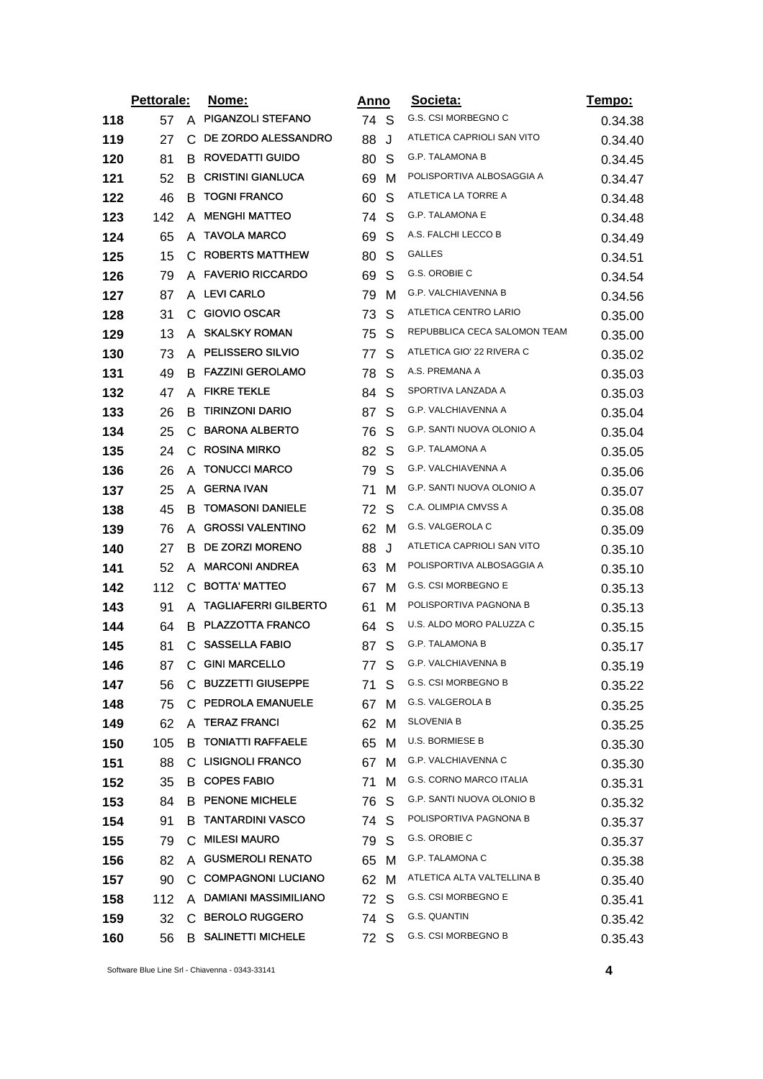|     | Pettorale: |   | Nome:                       | <u>Anno</u> |              | Societa:                     | <u>Tempo:</u> |
|-----|------------|---|-----------------------------|-------------|--------------|------------------------------|---------------|
| 118 | 57         |   | A PIGANZOLI STEFANO         | 74 S        |              | G.S. CSI MORBEGNO C          | 0.34.38       |
| 119 | 27         |   | C DE ZORDO ALESSANDRO       | 88          | J            | ATLETICA CAPRIOLI SAN VITO   | 0.34.40       |
| 120 | 81         | B | ROVEDATTI GUIDO             | 80          | S            | G.P. TALAMONA B              | 0.34.45       |
| 121 | 52         |   | <b>B CRISTINI GIANLUCA</b>  | 69          | M            | POLISPORTIVA ALBOSAGGIA A    | 0.34.47       |
| 122 | 46         | B | <b>TOGNI FRANCO</b>         | 60          | S            | ATLETICA LA TORRE A          | 0.34.48       |
| 123 | 142        | A | <b>MENGHI MATTEO</b>        | 74          | S            | G.P. TALAMONA E              | 0.34.48       |
| 124 | 65         | A | <b>TAVOLA MARCO</b>         | 69          | S            | A.S. FALCHI LECCO B          | 0.34.49       |
| 125 | 15         |   | C ROBERTS MATTHEW           | 80          | S            | <b>GALLES</b>                | 0.34.51       |
| 126 | 79         |   | A FAVERIO RICCARDO          | 69          | S            | G.S. OROBIE C                | 0.34.54       |
| 127 | 87         |   | A LEVI CARLO                | 79          | M            | G.P. VALCHIAVENNA B          | 0.34.56       |
| 128 | 31         | C | <b>GIOVIO OSCAR</b>         | 73          | S            | ATLETICA CENTRO LARIO        | 0.35.00       |
| 129 | 13         |   | A SKALSKY ROMAN             | 75          | S            | REPUBBLICA CECA SALOMON TEAM | 0.35.00       |
| 130 | 73         |   | A PELISSERO SILVIO          | 77          | S            | ATLETICA GIO' 22 RIVERA C    | 0.35.02       |
| 131 | 49         |   | <b>B FAZZINI GEROLAMO</b>   | 78          | S            | A.S. PREMANA A               | 0.35.03       |
| 132 | 47         |   | A FIKRE TEKLE               | 84          | S            | SPORTIVA LANZADA A           | 0.35.03       |
| 133 | 26         | B | <b>TIRINZONI DARIO</b>      | 87          | <sub>S</sub> | G.P. VALCHIAVENNA A          | 0.35.04       |
| 134 | 25         |   | C BARONA ALBERTO            | 76          | S            | G.P. SANTI NUOVA OLONIO A    | 0.35.04       |
| 135 | 24         | С | <b>ROSINA MIRKO</b>         | 82          | S            | <b>G.P. TALAMONA A</b>       | 0.35.05       |
| 136 | 26         |   | A TONUCCI MARCO             | 79          | -S           | G.P. VALCHIAVENNA A          | 0.35.06       |
| 137 | 25         | A | <b>GERNA IVAN</b>           | 71          | м            | G.P. SANTI NUOVA OLONIO A    | 0.35.07       |
| 138 | 45         | B | <b>TOMASONI DANIELE</b>     | 72          | S            | C.A. OLIMPIA CMVSS A         | 0.35.08       |
| 139 | 76         | A | <b>GROSSI VALENTINO</b>     | 62 M        |              | G.S. VALGEROLA C             | 0.35.09       |
| 140 | 27         | B | DE ZORZI MORENO             | 88          | J            | ATLETICA CAPRIOLI SAN VITO   | 0.35.10       |
| 141 | 52         | A | <b>MARCONI ANDREA</b>       | 63          | M            | POLISPORTIVA ALBOSAGGIA A    | 0.35.10       |
| 142 | 112        | C | <b>BOTTA' MATTEO</b>        | 67          | M            | G.S. CSI MORBEGNO E          | 0.35.13       |
| 143 | 91         | A | <b>TAGLIAFERRI GILBERTO</b> | 61          | M            | POLISPORTIVA PAGNONA B       | 0.35.13       |
| 144 | 64         | В | <b>PLAZZOTTA FRANCO</b>     | 64          | S            | U.S. ALDO MORO PALUZZA C     | 0.35.15       |
| 145 | 81         |   | C SASSELLA FABIO            | 87 S        |              | <b>G.P. TALAMONA B</b>       | 0.35.17       |
| 146 | 87         |   | C GINI MARCELLO             |             | 77 S         | G.P. VALCHIAVENNA B          | 0.35.19       |
| 147 | 56         |   | C BUZZETTI GIUSEPPE         | 71 S        |              | G.S. CSI MORBEGNO B          | 0.35.22       |
| 148 | 75         |   | C PEDROLA EMANUELE          | 67 M        |              | G.S. VALGEROLA B             | 0.35.25       |
| 149 | 62         |   | A TERAZ FRANCI              | 62 M        |              | <b>SLOVENIA B</b>            | 0.35.25       |
| 150 | 105        |   | <b>B TONIATTI RAFFAELE</b>  | 65 M        |              | <b>U.S. BORMIESE B</b>       | 0.35.30       |
| 151 | 88         |   | C LISIGNOLI FRANCO          | 67 M        |              | G.P. VALCHIAVENNA C          | 0.35.30       |
| 152 | 35         |   | <b>B</b> COPES FABIO        | 71          | M            | G.S. CORNO MARCO ITALIA      | 0.35.31       |
| 153 | 84         |   | <b>B PENONE MICHELE</b>     | 76 S        |              | G.P. SANTI NUOVA OLONIO B    | 0.35.32       |
| 154 | 91         |   | <b>B TANTARDINI VASCO</b>   | 74 S        |              | POLISPORTIVA PAGNONA B       | 0.35.37       |
| 155 | 79         |   | C MILESI MAURO              | 79 S        |              | G.S. OROBIE C                | 0.35.37       |
| 156 | 82         |   | A GUSMEROLI RENATO          | 65 M        |              | G.P. TALAMONA C              | 0.35.38       |
| 157 | 90         |   | C. COMPAGNONI LUCIANO       | 62 M        |              | ATLETICA ALTA VALTELLINA B   | 0.35.40       |
| 158 | 112        |   | A DAMIANI MASSIMILIANO      | 72 S        |              | G.S. CSI MORBEGNO E          | 0.35.41       |
| 159 | 32         |   | C BEROLO RUGGERO            | 74 S        |              | G.S. QUANTIN                 | 0.35.42       |
| 160 | 56         |   | <b>B SALINETTI MICHELE</b>  | 72 S        |              | G.S. CSI MORBEGNO B          | 0.35.43       |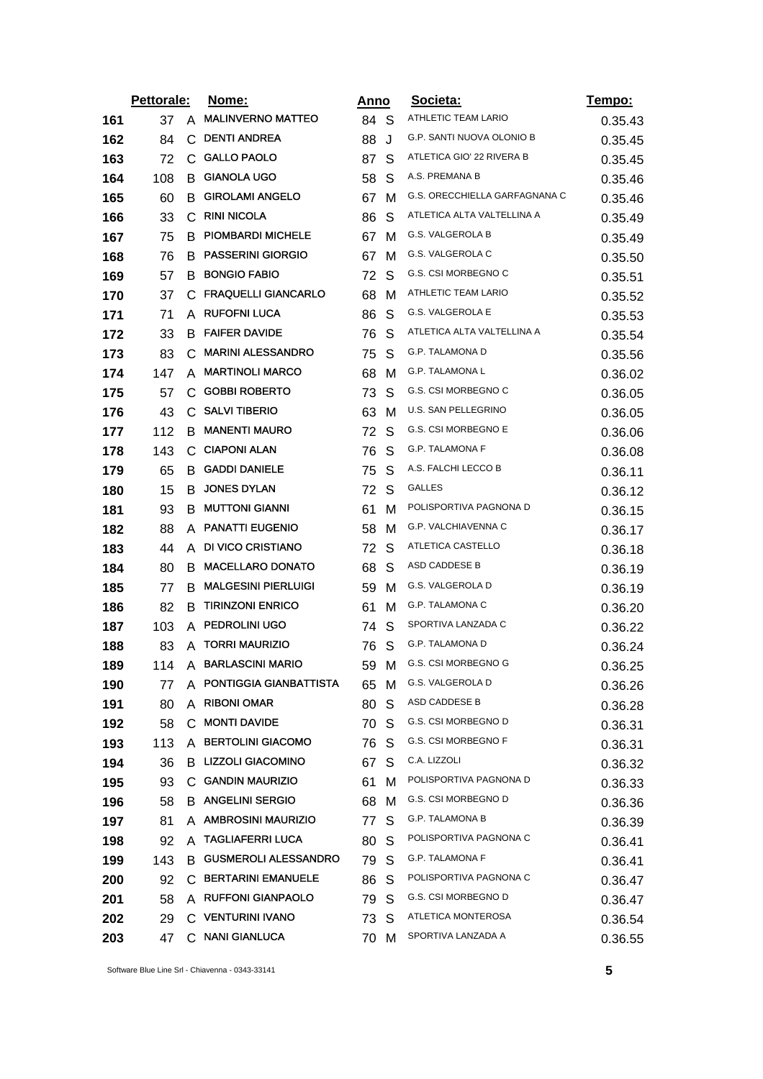|     | Pettorale: |    | Nome:                       | <u>Anno</u> |   | Societa:                      | <u>Tempo:</u> |
|-----|------------|----|-----------------------------|-------------|---|-------------------------------|---------------|
| 161 | 37         | A  | <b>MALINVERNO MATTEO</b>    | 84 S        |   | ATHLETIC TEAM LARIO           | 0.35.43       |
| 162 | 84         | С  | <b>DENTI ANDREA</b>         | 88          | J | G.P. SANTI NUOVA OLONIO B     | 0.35.45       |
| 163 | 72         | C. | <b>GALLO PAOLO</b>          | 87          | S | ATLETICA GIO' 22 RIVERA B     | 0.35.45       |
| 164 | 108        | B  | <b>GIANOLA UGO</b>          | 58          | S | A.S. PREMANA B                | 0.35.46       |
| 165 | 60         | B. | <b>GIROLAMI ANGELO</b>      | 67          | M | G.S. ORECCHIELLA GARFAGNANA C | 0.35.46       |
| 166 | 33         | C  | <b>RINI NICOLA</b>          | 86          | S | ATLETICA ALTA VALTELLINA A    | 0.35.49       |
| 167 | 75         | B  | PIOMBARDI MICHELE           | 67          | M | G.S. VALGEROLA B              | 0.35.49       |
| 168 | 76         |    | <b>B PASSERINI GIORGIO</b>  | 67          | M | G.S. VALGEROLA C              | 0.35.50       |
| 169 | 57         | B  | <b>BONGIO FABIO</b>         | 72          | S | G.S. CSI MORBEGNO C           | 0.35.51       |
| 170 | 37         |    | C FRAQUELLI GIANCARLO       | 68          | м | ATHLETIC TEAM LARIO           | 0.35.52       |
| 171 | 71         | A  | <b>RUFOFNI LUCA</b>         | 86          | S | G.S. VALGEROLA E              | 0.35.53       |
| 172 | 33         | B  | <b>FAIFER DAVIDE</b>        | 76          | S | ATLETICA ALTA VALTELLINA A    | 0.35.54       |
| 173 | 83         | C  | <b>MARINI ALESSANDRO</b>    | 75          | S | <b>G.P. TALAMONA D</b>        | 0.35.56       |
| 174 | 147        | A  | <b>MARTINOLI MARCO</b>      | 68          | M | G.P. TALAMONA L               | 0.36.02       |
| 175 | 57         | C. | <b>GOBBI ROBERTO</b>        | 73          | S | G.S. CSI MORBEGNO C           | 0.36.05       |
| 176 | 43         |    | C SALVI TIBERIO             | 63          | M | U.S. SAN PELLEGRINO           | 0.36.05       |
| 177 | 112        | B  | <b>MANENTI MAURO</b>        | 72          | S | G.S. CSI MORBEGNO E           | 0.36.06       |
| 178 | 143        | C. | <b>CIAPONI ALAN</b>         | 76          | S | G.P. TALAMONA F               | 0.36.08       |
| 179 | 65         |    | <b>B</b> GADDI DANIELE      | 75          | S | A.S. FALCHI LECCO B           | 0.36.11       |
| 180 | 15         | B. | <b>JONES DYLAN</b>          | 72          | S | GALLES                        | 0.36.12       |
| 181 | 93         | B. | <b>MUTTONI GIANNI</b>       | 61          | м | POLISPORTIVA PAGNONA D        | 0.36.15       |
| 182 | 88         | A  | <b>PANATTI EUGENIO</b>      | 58          | M | G.P. VALCHIAVENNA C           | 0.36.17       |
| 183 | 44         |    | A DI VICO CRISTIANO         | 72          | S | ATLETICA CASTELLO             | 0.36.18       |
| 184 | 80         | B  | <b>MACELLARO DONATO</b>     | 68          | S | ASD CADDESE B                 | 0.36.19       |
| 185 | 77         | B  | <b>MALGESINI PIERLUIGI</b>  | 59          | M | G.S. VALGEROLA D              | 0.36.19       |
| 186 | 82         | B  | <b>TIRINZONI ENRICO</b>     | 61          | м | G.P. TALAMONA C               | 0.36.20       |
| 187 | 103        |    | A PEDROLINI UGO             | 74          | S | SPORTIVA LANZADA C            | 0.36.22       |
| 188 | 83         | A  | <b>TORRI MAURIZIO</b>       | 76          | S | G.P. TALAMONA D               | 0.36.24       |
| 189 | 114        |    | A BARLASCINI MARIO          | 59          | M | G.S. CSI MORBEGNO G           | 0.36.25       |
| 190 | 77         |    | A PONTIGGIA GIANBATTISTA    | 65          | м | G.S. VALGEROLA D              | 0.36.26       |
| 191 | 80         | A  | <b>RIBONI OMAR</b>          | 80          | S | ASD CADDESE B                 | 0.36.28       |
| 192 | 58         |    | C MONTI DAVIDE              | 70          | S | G.S. CSI MORBEGNO D           | 0.36.31       |
| 193 | 113        |    | A BERTOLINI GIACOMO         | 76          | S | G.S. CSI MORBEGNO F           | 0.36.31       |
| 194 | 36         |    | B LIZZOLI GIACOMINO         | 67          | S | C.A. LIZZOLI                  | 0.36.32       |
| 195 | 93         | C. | <b>GANDIN MAURIZIO</b>      | 61          | M | POLISPORTIVA PAGNONA D        | 0.36.33       |
| 196 | 58         |    | <b>B ANGELINI SERGIO</b>    | 68          | м | G.S. CSI MORBEGNO D           | 0.36.36       |
| 197 | 81         |    | A AMBROSINI MAURIZIO        | 77          | S | <b>G.P. TALAMONA B</b>        | 0.36.39       |
| 198 | 92         |    | A TAGLIAFERRI LUCA          | 80          | S | POLISPORTIVA PAGNONA C        | 0.36.41       |
| 199 | 143        | B. | <b>GUSMEROLI ALESSANDRO</b> | 79          | S | G.P. TALAMONA F               | 0.36.41       |
| 200 | 92         |    | C BERTARINI EMANUELE        | 86          | S | POLISPORTIVA PAGNONA C        | 0.36.47       |
| 201 | 58         |    | A RUFFONI GIANPAOLO         | 79          | S | G.S. CSI MORBEGNO D           | 0.36.47       |
| 202 | 29         |    | C VENTURINI IVANO           | 73          | S | ATLETICA MONTEROSA            | 0.36.54       |
| 203 | 47         |    | C NANI GIANLUCA             | 70          | м | SPORTIVA LANZADA A            | 0.36.55       |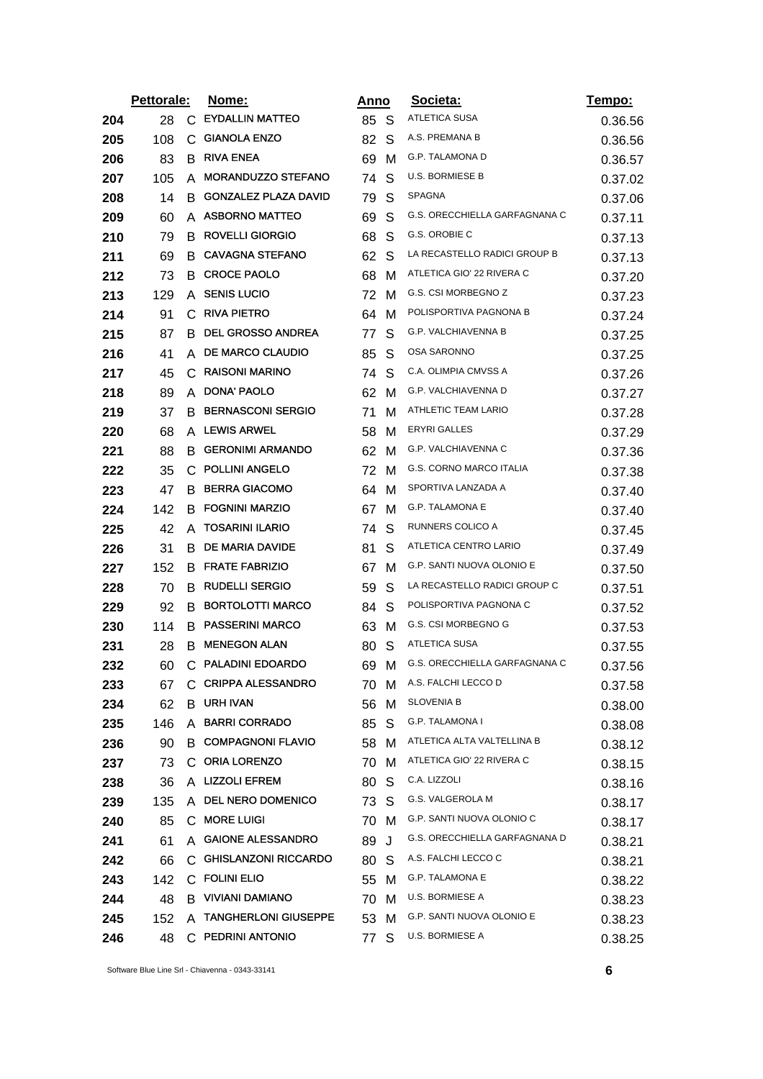|     | Pettorale: |    | Nome:                       | <u>Anno</u> |              | Societa:                      | Tempo:  |
|-----|------------|----|-----------------------------|-------------|--------------|-------------------------------|---------|
| 204 | 28         | C. | <b>EYDALLIN MATTEO</b>      | 85 S        |              | <b>ATLETICA SUSA</b>          | 0.36.56 |
| 205 | 108        | C  | <b>GIANOLA ENZO</b>         | 82          | S            | A.S. PREMANA B                | 0.36.56 |
| 206 | 83         | B  | <b>RIVA ENEA</b>            | 69          | м            | G.P. TALAMONA D               | 0.36.57 |
| 207 | 105        | A  | <b>MORANDUZZO STEFANO</b>   | 74          | S            | <b>U.S. BORMIESE B</b>        | 0.37.02 |
| 208 | 14         | B. | <b>GONZALEZ PLAZA DAVID</b> | 79          | S            | SPAGNA                        | 0.37.06 |
| 209 | 60         |    | A ASBORNO MATTEO            | 69          | S            | G.S. ORECCHIELLA GARFAGNANA C | 0.37.11 |
| 210 | 79         | B. | <b>ROVELLI GIORGIO</b>      | 68          | S            | G.S. OROBIE C                 | 0.37.13 |
| 211 | 69         |    | <b>B</b> CAVAGNA STEFANO    | 62          | <sub>S</sub> | LA RECASTELLO RADICI GROUP B  | 0.37.13 |
| 212 | 73         | B  | <b>CROCE PAOLO</b>          | 68          | M            | ATLETICA GIO' 22 RIVERA C     | 0.37.20 |
| 213 | 129        | A  | <b>SENIS LUCIO</b>          | 72          | м            | G.S. CSI MORBEGNO Z           | 0.37.23 |
| 214 | 91         | C  | <b>RIVA PIETRO</b>          | 64          | м            | POLISPORTIVA PAGNONA B        | 0.37.24 |
| 215 | 87         |    | <b>B DEL GROSSO ANDREA</b>  | 77          | S            | G.P. VALCHIAVENNA B           | 0.37.25 |
| 216 | 41         | A  | <b>DE MARCO CLAUDIO</b>     | 85          | S            | OSA SARONNO                   | 0.37.25 |
| 217 | 45         | C  | <b>RAISONI MARINO</b>       | 74          | S            | C.A. OLIMPIA CMVSS A          | 0.37.26 |
| 218 | 89         | A  | DONA' PAOLO                 | 62          | м            | G.P. VALCHIAVENNA D           | 0.37.27 |
| 219 | 37         | B  | <b>BERNASCONI SERGIO</b>    | 71          | м            | ATHLETIC TEAM LARIO           | 0.37.28 |
| 220 | 68         |    | A LEWIS ARWEL               | 58          | м            | ERYRI GALLES                  | 0.37.29 |
| 221 | 88         | B  | <b>GERONIMI ARMANDO</b>     | 62          | м            | G.P. VALCHIAVENNA C           | 0.37.36 |
| 222 | 35         |    | C POLLINI ANGELO            | 72          | M            | G.S. CORNO MARCO ITALIA       | 0.37.38 |
| 223 | 47         | B. | <b>BERRA GIACOMO</b>        | 64          | м            | SPORTIVA LANZADA A            | 0.37.40 |
| 224 | 142        | B. | <b>FOGNINI MARZIO</b>       | 67          | м            | <b>G.P. TALAMONA E</b>        | 0.37.40 |
| 225 | 42         | A  | <b>TOSARINI ILARIO</b>      | 74          | S            | RUNNERS COLICO A              | 0.37.45 |
| 226 | 31         | B. | <b>DE MARIA DAVIDE</b>      | 81          | S            | ATLETICA CENTRO LARIO         | 0.37.49 |
| 227 | 152        |    | <b>B FRATE FABRIZIO</b>     | 67          | м            | G.P. SANTI NUOVA OLONIO E     | 0.37.50 |
| 228 | 70         |    | <b>B RUDELLI SERGIO</b>     | 59          | S            | LA RECASTELLO RADICI GROUP C  | 0.37.51 |
| 229 | 92         | B  | <b>BORTOLOTTI MARCO</b>     | 84          | S            | POLISPORTIVA PAGNONA C        | 0.37.52 |
| 230 | 114        | B. | <b>PASSERINI MARCO</b>      | 63          | м            | G.S. CSI MORBEGNO G           | 0.37.53 |
| 231 | 28         | B. | <b>MENEGON ALAN</b>         | 80          | S            | <b>ATLETICA SUSA</b>          | 0.37.55 |
| 232 | 60         |    | C PALADINI EDOARDO          | 69          | M            | G.S. ORECCHIELLA GARFAGNANA C | 0.37.56 |
| 233 | 67         |    | C CRIPPA ALESSANDRO         | 70 M        |              | A.S. FALCHI LECCO D           | 0.37.58 |
| 234 | 62         |    | <b>B</b> URH IVAN           | 56          | M            | SLOVENIA B                    | 0.38.00 |
| 235 | 146        |    | A BARRI CORRADO             | 85          | S.           | <b>G.P. TALAMONA I</b>        | 0.38.08 |
| 236 | 90         |    | <b>B COMPAGNONI FLAVIO</b>  | 58 M        |              | ATLETICA ALTA VALTELLINA B    | 0.38.12 |
| 237 | 73         |    | C ORIA LORENZO              | 70          | M            | ATLETICA GIO' 22 RIVERA C     | 0.38.15 |
| 238 | 36         |    | A LIZZOLI EFREM             | 80          | S            | C.A. LIZZOLI                  | 0.38.16 |
| 239 | 135        |    | A DEL NERO DOMENICO         | 73 S        |              | G.S. VALGEROLA M              | 0.38.17 |
| 240 | 85         |    | C MORE LUIGI                | 70 M        |              | G.P. SANTI NUOVA OLONIO C     | 0.38.17 |
| 241 | 61         |    | A GAIONE ALESSANDRO         | 89          | J            | G.S. ORECCHIELLA GARFAGNANA D | 0.38.21 |
| 242 | 66         |    | C GHISLANZONI RICCARDO      | 80          | <sub>S</sub> | A.S. FALCHI LECCO C           | 0.38.21 |
| 243 | 142        |    | C FOLINI ELIO               | 55 M        |              | G.P. TALAMONA E               | 0.38.22 |
| 244 | 48         |    | <b>B</b> VIVIANI DAMIANO    | 70 M        |              | U.S. BORMIESE A               | 0.38.23 |
| 245 | 152        |    | A TANGHERLONI GIUSEPPE      | 53 M        |              | G.P. SANTI NUOVA OLONIO E     | 0.38.23 |
| 246 | 48         |    | C PEDRINI ANTONIO           | 77          | S            | U.S. BORMIESE A               | 0.38.25 |

Software Blue Line Srl - Chiavenna - 0343-33141 **6**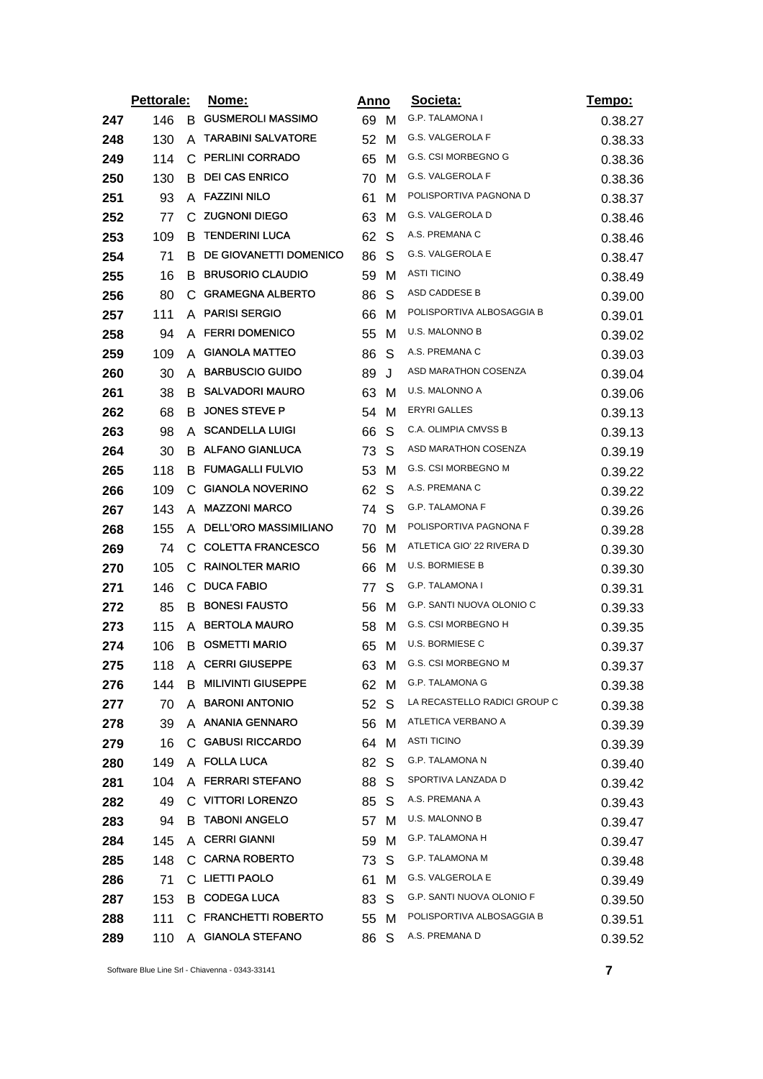|     | Pettorale: |              | <u>Nome:</u>                 | <u>Anno</u> |     | Societa:                     | <u>Tempo:</u> |
|-----|------------|--------------|------------------------------|-------------|-----|------------------------------|---------------|
| 247 | 146        | B.           | <b>GUSMEROLI MASSIMO</b>     | 69          | M   | <b>G.P. TALAMONA I</b>       | 0.38.27       |
| 248 | 130        | A            | <b>TARABINI SALVATORE</b>    | 52          | M   | G.S. VALGEROLA F             | 0.38.33       |
| 249 | 114        | С            | <b>PERLINI CORRADO</b>       | 65          | M   | G.S. CSI MORBEGNO G          | 0.38.36       |
| 250 | 130        | В            | <b>DEI CAS ENRICO</b>        | 70          | м   | G.S. VALGEROLA F             | 0.38.36       |
| 251 | 93         |              | A FAZZINI NILO               | 61          | M   | POLISPORTIVA PAGNONA D       | 0.38.37       |
| 252 | 77         | C.           | <b>ZUGNONI DIEGO</b>         | 63          | M   | G.S. VALGEROLA D             | 0.38.46       |
| 253 | 109        | в            | <b>TENDERINI LUCA</b>        | 62          | S   | A.S. PREMANA C               | 0.38.46       |
| 254 | 71         | В            | DE GIOVANETTI DOMENICO       | 86          | S   | G.S. VALGEROLA E             | 0.38.47       |
| 255 | 16         | B            | <b>BRUSORIO CLAUDIO</b>      | 59          | M   | ASTI TICINO                  | 0.38.49       |
| 256 | 80         | C.           | <b>GRAMEGNA ALBERTO</b>      | 86          | S   | ASD CADDESE B                | 0.39.00       |
| 257 | 111        | A            | <b>PARISI SERGIO</b>         | 66          | M   | POLISPORTIVA ALBOSAGGIA B    | 0.39.01       |
| 258 | 94         |              | A FERRI DOMENICO             | 55          | м   | U.S. MALONNO B               | 0.39.02       |
| 259 | 109        | A            | <b>GIANOLA MATTEO</b>        | 86          | S   | A.S. PREMANA C               | 0.39.03       |
| 260 | 30         | A            | <b>BARBUSCIO GUIDO</b>       | 89          | J   | ASD MARATHON COSENZA         | 0.39.04       |
| 261 | 38         | B            | <b>SALVADORI MAURO</b>       | 63          | м   | U.S. MALONNO A               | 0.39.06       |
| 262 | 68         | B            | <b>JONES STEVE P</b>         | 54          | M   | <b>ERYRI GALLES</b>          | 0.39.13       |
| 263 | 98         | A            | <b>SCANDELLA LUIGI</b>       | 66          | S   | C.A. OLIMPIA CMVSS B         | 0.39.13       |
| 264 | 30         | В            | <b>ALFANO GIANLUCA</b>       | 73          | S   | ASD MARATHON COSENZA         | 0.39.19       |
| 265 | 118        | B            | <b>FUMAGALLI FULVIO</b>      | 53          | м   | G.S. CSI MORBEGNO M          | 0.39.22       |
| 266 | 109        | С            | <b>GIANOLA NOVERINO</b>      | 62          | S   | A.S. PREMANA C               | 0.39.22       |
| 267 | 143        | A            | <b>MAZZONI MARCO</b>         | 74          | S   | G.P. TALAMONA F              | 0.39.26       |
| 268 | 155        | A            | <b>DELL'ORO MASSIMILIANO</b> | 70          | M   | POLISPORTIVA PAGNONA F       | 0.39.28       |
| 269 | 74         |              | C COLETTA FRANCESCO          | 56          | M   | ATLETICA GIO' 22 RIVERA D    | 0.39.30       |
| 270 | 105        | С            | <b>RAINOLTER MARIO</b>       | 66          | м   | <b>U.S. BORMIESE B</b>       | 0.39.30       |
| 271 | 146        | $\mathsf{C}$ | <b>DUCA FABIO</b>            | 77          | S   | G.P. TALAMONA I              | 0.39.31       |
| 272 | 85         | B            | <b>BONESI FAUSTO</b>         | 56          | м   | G.P. SANTI NUOVA OLONIO C    | 0.39.33       |
| 273 | 115        | A            | <b>BERTOLA MAURO</b>         | 58          | M   | G.S. CSI MORBEGNO H          | 0.39.35       |
| 274 | 106        | В            | <b>OSMETTI MARIO</b>         | 65          | м   | U.S. BORMIESE C              | 0.39.37       |
| 275 | 118        |              | A CERRI GIUSEPPE             | 63          | м   | <b>G.S. CSI MORBEGNO M</b>   | 0.39.37       |
| 276 | 144        |              | <b>B MILIVINTI GIUSEPPE</b>  | 62 M        |     | <b>G.P. TALAMONA G</b>       | 0.39.38       |
| 277 | 70         | A            | <b>BARONI ANTONIO</b>        | 52          | - S | LA RECASTELLO RADICI GROUP C | 0.39.38       |
| 278 | 39         |              | A ANANIA GENNARO             | 56          | M   | ATLETICA VERBANO A           | 0.39.39       |
| 279 | 16         |              | C GABUSI RICCARDO            | 64          | M   | <b>ASTI TICINO</b>           | 0.39.39       |
| 280 | 149        |              | A FOLLA LUCA                 | 82          | S   | G.P. TALAMONA N              | 0.39.40       |
| 281 | 104        |              | A FERRARI STEFANO            | 88          | S   | SPORTIVA LANZADA D           | 0.39.42       |
| 282 | 49         |              | C VITTORI LORENZO            | 85          | S   | A.S. PREMANA A               | 0.39.43       |
| 283 | 94         | В            | <b>TABONI ANGELO</b>         | 57          | M   | U.S. MALONNO B               | 0.39.47       |
| 284 | 145        |              | A CERRI GIANNI               | 59          | м   | <b>G.P. TALAMONA H</b>       | 0.39.47       |
| 285 | 148        |              | C CARNA ROBERTO              | 73          | S   | G.P. TALAMONA M              | 0.39.48       |
| 286 | 71         |              | C LIETTI PAOLO               | 61          | м   | G.S. VALGEROLA E             | 0.39.49       |
| 287 | 153        |              | <b>B</b> CODEGA LUCA         | 83          | S   | G.P. SANTI NUOVA OLONIO F    | 0.39.50       |
| 288 | 111        |              | C FRANCHETTI ROBERTO         | 55          | M   | POLISPORTIVA ALBOSAGGIA B    | 0.39.51       |
| 289 | 110        |              | A GIANOLA STEFANO            | 86          | S   | A.S. PREMANA D               | 0.39.52       |

Software Blue Line Srl - Chiavenna - 0343-33141 **7**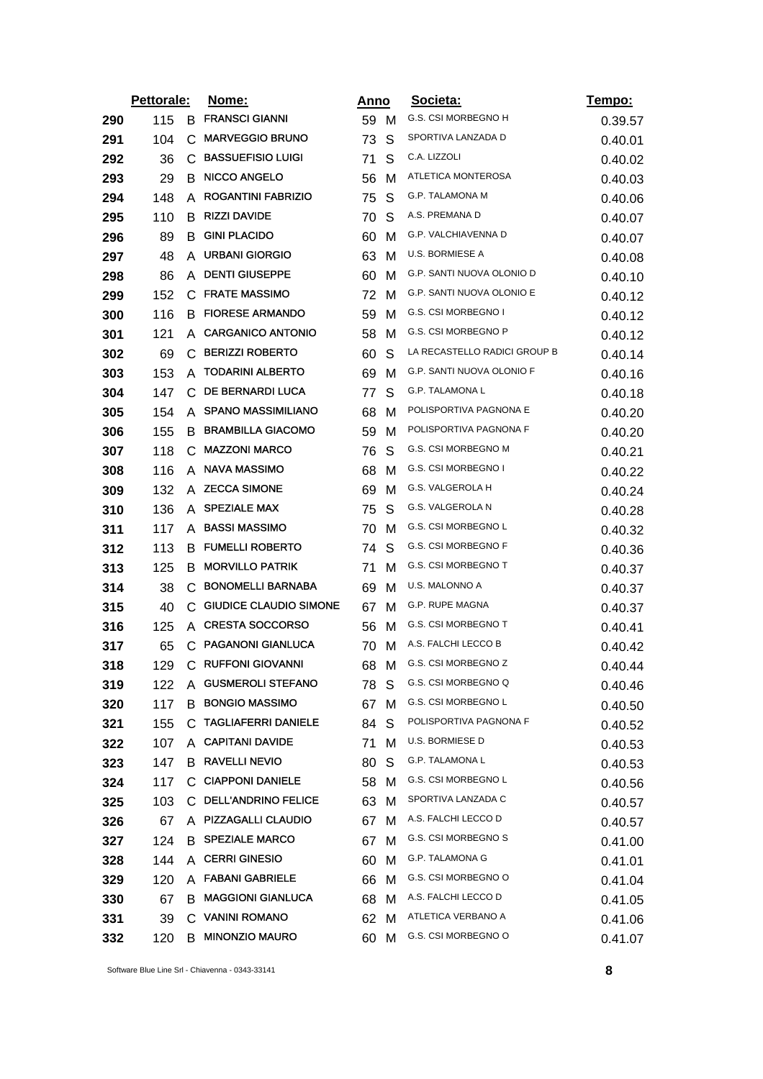|     | Pettorale: |    | <u>Nome:</u>                  | Anno |   | Societa:                     | <u>Tempo:</u> |
|-----|------------|----|-------------------------------|------|---|------------------------------|---------------|
| 290 | 115        | B  | <b>FRANSCI GIANNI</b>         | 59 M |   | G.S. CSI MORBEGNO H          | 0.39.57       |
| 291 | 104        | C  | <b>MARVEGGIO BRUNO</b>        | 73   | S | SPORTIVA LANZADA D           | 0.40.01       |
| 292 | 36         | C  | <b>BASSUEFISIO LUIGI</b>      | 71   | S | C.A. LIZZOLI                 | 0.40.02       |
| 293 | 29         | B  | <b>NICCO ANGELO</b>           | 56   | M | ATLETICA MONTEROSA           | 0.40.03       |
| 294 | 148        | A  | <b>ROGANTINI FABRIZIO</b>     | 75   | S | G.P. TALAMONA M              | 0.40.06       |
| 295 | 110        | B  | <b>RIZZI DAVIDE</b>           | 70   | S | A.S. PREMANA D               | 0.40.07       |
| 296 | 89         | B  | <b>GINI PLACIDO</b>           | 60   | M | G.P. VALCHIAVENNA D          | 0.40.07       |
| 297 | 48         | A  | <b>URBANI GIORGIO</b>         | 63   | м | U.S. BORMIESE A              | 0.40.08       |
| 298 | 86         | A  | <b>DENTI GIUSEPPE</b>         | 60   | M | G.P. SANTI NUOVA OLONIO D    | 0.40.10       |
| 299 | 152        | C. | <b>FRATE MASSIMO</b>          | 72   | м | G.P. SANTI NUOVA OLONIO E    | 0.40.12       |
| 300 | 116        | B  | <b>FIORESE ARMANDO</b>        | 59   | M | G.S. CSI MORBEGNO I          | 0.40.12       |
| 301 | 121        | A  | <b>CARGANICO ANTONIO</b>      | 58   | м | G.S. CSI MORBEGNO P          | 0.40.12       |
| 302 | 69         | C  | <b>BERIZZI ROBERTO</b>        | 60   | S | LA RECASTELLO RADICI GROUP B | 0.40.14       |
| 303 | 153        | A  | <b>TODARINI ALBERTO</b>       | 69   | м | G.P. SANTI NUOVA OLONIO F    | 0.40.16       |
| 304 | 147        | C  | DE BERNARDI LUCA              | 77   | S | G.P. TALAMONA L              | 0.40.18       |
| 305 | 154        | A  | <b>SPANO MASSIMILIANO</b>     | 68   | м | POLISPORTIVA PAGNONA E       | 0.40.20       |
| 306 | 155        | B  | <b>BRAMBILLA GIACOMO</b>      | 59   | м | POLISPORTIVA PAGNONA F       | 0.40.20       |
| 307 | 118        | С  | <b>MAZZONI MARCO</b>          | 76   | S | G.S. CSI MORBEGNO M          | 0.40.21       |
| 308 | 116        | A  | NAVA MASSIMO                  | 68   | м | G.S. CSI MORBEGNO I          | 0.40.22       |
| 309 | 132        | A  | <b>ZECCA SIMONE</b>           | 69   | м | G.S. VALGEROLA H             | 0.40.24       |
| 310 | 136        | A  | <b>SPEZIALE MAX</b>           | 75   | S | G.S. VALGEROLA N             | 0.40.28       |
| 311 | 117        | A  | <b>BASSI MASSIMO</b>          | 70   | м | G.S. CSI MORBEGNO L          | 0.40.32       |
| 312 | 113        | B. | <b>FUMELLI ROBERTO</b>        | 74   | S | G.S. CSI MORBEGNO F          | 0.40.36       |
| 313 | 125        | B  | <b>MORVILLO PATRIK</b>        | 71   | M | G.S. CSI MORBEGNO T          | 0.40.37       |
| 314 | 38         | C. | <b>BONOMELLI BARNABA</b>      | 69   | м | U.S. MALONNO A               | 0.40.37       |
| 315 | 40         | C  | <b>GIUDICE CLAUDIO SIMONE</b> | 67   | м | G.P. RUPE MAGNA              | 0.40.37       |
| 316 | 125        | A  | <b>CRESTA SOCCORSO</b>        | 56   | м | <b>G.S. CSI MORBEGNO T</b>   | 0.40.41       |
| 317 | 65         | C. | <b>PAGANONI GIANLUCA</b>      | 70   | м | A.S. FALCHI LECCO B          | 0.40.42       |
| 318 | 129        |    | C RUFFONI GIOVANNI            | 68   | м | G.S. CSI MORBEGNO Z          | 0.40.44       |
| 319 | 122        | A  | <b>GUSMEROLI STEFANO</b>      | 78   | S | G.S. CSI MORBEGNO Q          | 0.40.46       |
| 320 | 117        | B  | <b>BONGIO MASSIMO</b>         | 67   | м | G.S. CSI MORBEGNO L          | 0.40.50       |
| 321 | 155        |    | C TAGLIAFERRI DANIELE         | 84   | S | POLISPORTIVA PAGNONA F       | 0.40.52       |
| 322 | 107        |    | A CAPITANI DAVIDE             | 71 M |   | U.S. BORMIESE D              | 0.40.53       |
| 323 | 147        |    | <b>B RAVELLI NEVIO</b>        | 80   | S | <b>G.P. TALAMONA L</b>       | 0.40.53       |
| 324 | 117        | C. | <b>CIAPPONI DANIELE</b>       | 58 M |   | G.S. CSI MORBEGNO L          | 0.40.56       |
| 325 | 103        |    | C DELL'ANDRINO FELICE         | 63   | M | SPORTIVA LANZADA C           | 0.40.57       |
| 326 | 67         |    | A PIZZAGALLI CLAUDIO          | 67   | м | A.S. FALCHI LECCO D          | 0.40.57       |
| 327 | 124        |    | <b>B SPEZIALE MARCO</b>       | 67   | м | G.S. CSI MORBEGNO S          | 0.41.00       |
| 328 | 144        | A  | <b>CERRI GINESIO</b>          | 60   | м | G.P. TALAMONA G              | 0.41.01       |
| 329 | 120        |    | A FABANI GABRIELE             | 66   | м | G.S. CSI MORBEGNO O          | 0.41.04       |
| 330 | 67         | B  | <b>MAGGIONI GIANLUCA</b>      | 68   | M | A.S. FALCHI LECCO D          | 0.41.05       |
| 331 | 39         |    | C VANINI ROMANO               | 62   | M | ATLETICA VERBANO A           | 0.41.06       |
| 332 | 120        | B. | <b>MINONZIO MAURO</b>         | 60   | M | G.S. CSI MORBEGNO O          | 0.41.07       |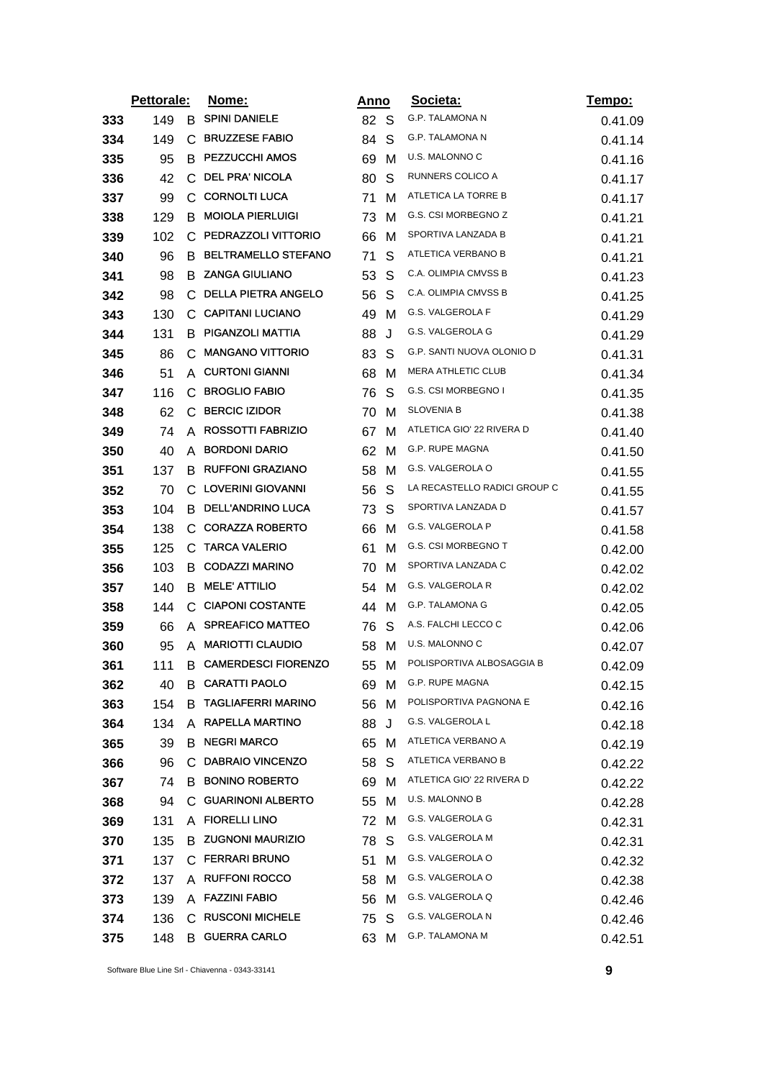|     | Pettorale: |    | <u>Nome:</u>               | <u>Anno</u> |   | Societa:                     | <u>Tempo:</u> |
|-----|------------|----|----------------------------|-------------|---|------------------------------|---------------|
| 333 | 149        | B  | <b>SPINI DANIELE</b>       | 82 S        |   | <b>G.P. TALAMONA N</b>       | 0.41.09       |
| 334 | 149        | C. | <b>BRUZZESE FABIO</b>      | 84          | S | G.P. TALAMONA N              | 0.41.14       |
| 335 | 95         | B  | <b>PEZZUCCHI AMOS</b>      | 69          | M | U.S. MALONNO C               | 0.41.16       |
| 336 | 42         | C. | <b>DEL PRA' NICOLA</b>     | 80          | S | RUNNERS COLICO A             | 0.41.17       |
| 337 | 99         | C  | <b>CORNOLTI LUCA</b>       | 71          | м | ATLETICA LA TORRE B          | 0.41.17       |
| 338 | 129        | B. | <b>MOIOLA PIERLUIGI</b>    | 73          | M | G.S. CSI MORBEGNO Z          | 0.41.21       |
| 339 | 102        | C  | PEDRAZZOLI VITTORIO        | 66          | M | SPORTIVA LANZADA B           | 0.41.21       |
| 340 | 96         | B  | <b>BELTRAMELLO STEFANO</b> | 71          | S | ATLETICA VERBANO B           | 0.41.21       |
| 341 | 98         | B  | <b>ZANGA GIULIANO</b>      | 53          | S | C.A. OLIMPIA CMVSS B         | 0.41.23       |
| 342 | 98         |    | C DELLA PIETRA ANGELO      | 56          | S | C.A. OLIMPIA CMVSS B         | 0.41.25       |
| 343 | 130        | C  | <b>CAPITANI LUCIANO</b>    | 49          | M | G.S. VALGEROLA F             | 0.41.29       |
| 344 | 131        |    | <b>B PIGANZOLI MATTIA</b>  | 88          | J | G.S. VALGEROLA G             | 0.41.29       |
| 345 | 86         | C  | <b>MANGANO VITTORIO</b>    | 83          | S | G.P. SANTI NUOVA OLONIO D    | 0.41.31       |
| 346 | 51         | A  | <b>CURTONI GIANNI</b>      | 68          | м | <b>MERA ATHLETIC CLUB</b>    | 0.41.34       |
| 347 | 116        | C. | <b>BROGLIO FABIO</b>       | 76          | S | G.S. CSI MORBEGNO I          | 0.41.35       |
| 348 | 62         |    | C BERCIC IZIDOR            | 70          | м | <b>SLOVENIA B</b>            | 0.41.38       |
| 349 | 74         | A  | <b>ROSSOTTI FABRIZIO</b>   | 67          | M | ATLETICA GIO' 22 RIVERA D    | 0.41.40       |
| 350 | 40         | A  | <b>BORDONI DARIO</b>       | 62          | м | <b>G.P. RUPE MAGNA</b>       | 0.41.50       |
| 351 | 137        | B. | <b>RUFFONI GRAZIANO</b>    | 58          | м | G.S. VALGEROLA O             | 0.41.55       |
| 352 | 70         | C  | LOVERINI GIOVANNI          | 56          | S | LA RECASTELLO RADICI GROUP C | 0.41.55       |
| 353 | 104        | B  | DELL'ANDRINO LUCA          | 73          | S | SPORTIVA LANZADA D           | 0.41.57       |
| 354 | 138        | C  | <b>CORAZZA ROBERTO</b>     | 66          | M | G.S. VALGEROLA P             | 0.41.58       |
| 355 | 125        |    | C TARCA VALERIO            | 61          | м | G.S. CSI MORBEGNO T          | 0.42.00       |
| 356 | 103        | B  | <b>CODAZZI MARINO</b>      | 70          | M | SPORTIVA LANZADA C           | 0.42.02       |
| 357 | 140        | B. | <b>MELE' ATTILIO</b>       | 54          | M | G.S. VALGEROLA R             | 0.42.02       |
| 358 | 144        | C  | <b>CIAPONI COSTANTE</b>    | 44          | м | G.P. TALAMONA G              | 0.42.05       |
| 359 | 66         | A  | <b>SPREAFICO MATTEO</b>    | 76          | S | A.S. FALCHI LECCO C          | 0.42.06       |
| 360 | 95         | A  | <b>MARIOTTI CLAUDIO</b>    | 58          | M | U.S. MALONNO C               | 0.42.07       |
| 361 | 111        | В  | <b>CAMERDESCI FIORENZO</b> | 55          | M | POLISPORTIVA ALBOSAGGIA B    | 0.42.09       |
| 362 | 40         |    | <b>B CARATTI PAOLO</b>     | 69 M        |   | G.P. RUPE MAGNA              | 0.42.15       |
| 363 | 154        | B. | <b>TAGLIAFERRI MARINO</b>  | 56          | м | POLISPORTIVA PAGNONA E       | 0.42.16       |
| 364 | 134        |    | A RAPELLA MARTINO          | 88          | J | G.S. VALGEROLA L             | 0.42.18       |
| 365 | 39         | B. | <b>NEGRI MARCO</b>         | 65          | м | ATLETICA VERBANO A           | 0.42.19       |
| 366 | 96         |    | C DABRAIO VINCENZO         | 58          | S | ATLETICA VERBANO B           | 0.42.22       |
| 367 | 74         |    | <b>B BONINO ROBERTO</b>    | 69          | м | ATLETICA GIO' 22 RIVERA D    | 0.42.22       |
| 368 | 94         |    | C GUARINONI ALBERTO        | 55          | м | <b>U.S. MALONNO B</b>        | 0.42.28       |
| 369 | 131        |    | A FIORELLI LINO            | 72 M        |   | G.S. VALGEROLA G             | 0.42.31       |
| 370 | 135        |    | <b>B ZUGNONI MAURIZIO</b>  | 78          | S | G.S. VALGEROLA M             | 0.42.31       |
| 371 | 137        |    | C FERRARI BRUNO            | 51          | м | G.S. VALGEROLA O             | 0.42.32       |
| 372 | 137        |    | A RUFFONI ROCCO            | 58          | м | G.S. VALGEROLA O             | 0.42.38       |
| 373 | 139        |    | A FAZZINI FABIO            | 56          | м | G.S. VALGEROLA Q             | 0.42.46       |
| 374 | 136        |    | C RUSCONI MICHELE          | 75          | S | G.S. VALGEROLA N             | 0.42.46       |
| 375 | 148        | B  | <b>GUERRA CARLO</b>        | 63          | м | G.P. TALAMONA M              | 0.42.51       |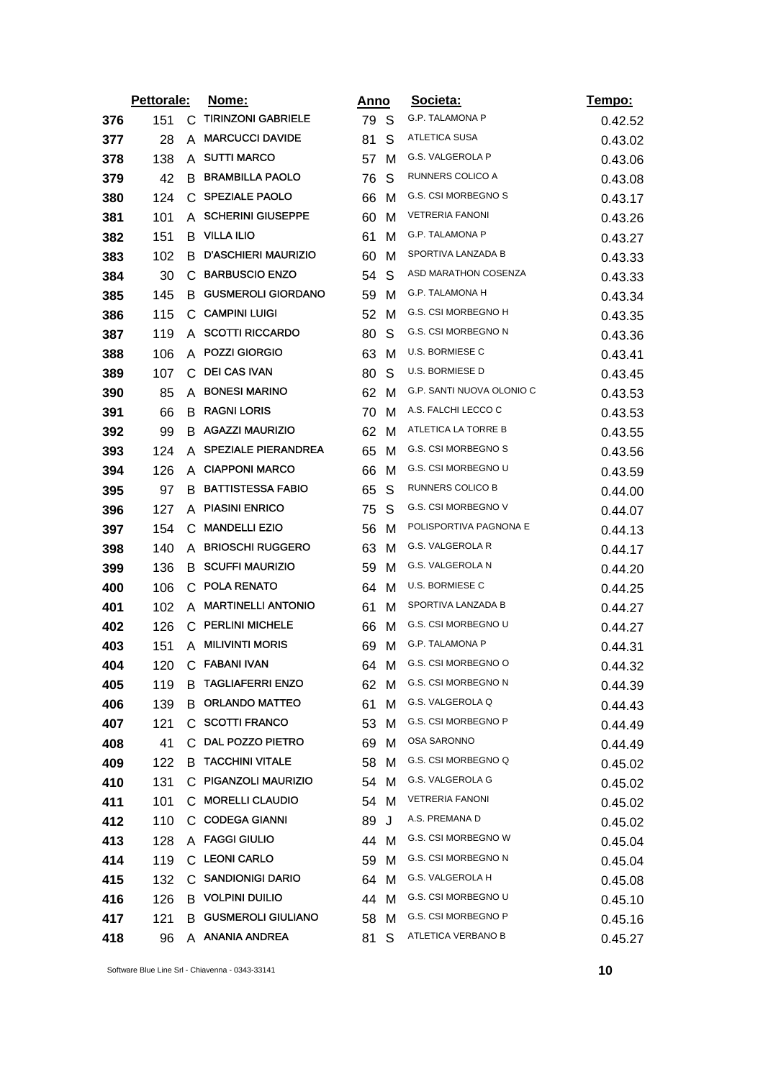|     | Pettorale: |              | Nome:                      | <u>Anno</u> |   | Societa:                  | <u>Tempo:</u> |
|-----|------------|--------------|----------------------------|-------------|---|---------------------------|---------------|
| 376 | 151        | C.           | <b>TIRINZONI GABRIELE</b>  | 79          | S | <b>G.P. TALAMONA P</b>    | 0.42.52       |
| 377 | 28         | A            | <b>MARCUCCI DAVIDE</b>     | 81          | S | ATLETICA SUSA             | 0.43.02       |
| 378 | 138        | A            | <b>SUTTI MARCO</b>         | 57          | M | G.S. VALGEROLA P          | 0.43.06       |
| 379 | 42         | B            | <b>BRAMBILLA PAOLO</b>     | 76          | S | RUNNERS COLICO A          | 0.43.08       |
| 380 | 124        | $\mathbf{C}$ | <b>SPEZIALE PAOLO</b>      | 66          | M | G.S. CSI MORBEGNO S       | 0.43.17       |
| 381 | 101        | A            | <b>SCHERINI GIUSEPPE</b>   | 60          | M | <b>VETRERIA FANONI</b>    | 0.43.26       |
| 382 | 151        | B            | <b>VILLA ILIO</b>          | 61          | M | G.P. TALAMONA P           | 0.43.27       |
| 383 | 102        | B            | <b>D'ASCHIERI MAURIZIO</b> | 60          | M | SPORTIVA LANZADA B        | 0.43.33       |
| 384 | 30         | C            | <b>BARBUSCIO ENZO</b>      | 54          | S | ASD MARATHON COSENZA      | 0.43.33       |
| 385 | 145        | B.           | <b>GUSMEROLI GIORDANO</b>  | 59          | M | G.P. TALAMONA H           | 0.43.34       |
| 386 | 115        | C            | <b>CAMPINI LUIGI</b>       | 52          | M | G.S. CSI MORBEGNO H       | 0.43.35       |
| 387 | 119        | A            | <b>SCOTTI RICCARDO</b>     | 80          | S | G.S. CSI MORBEGNO N       | 0.43.36       |
| 388 | 106        | A            | <b>POZZI GIORGIO</b>       | 63          | M | <b>U.S. BORMIESE C</b>    | 0.43.41       |
| 389 | 107        | C            | <b>DEI CAS IVAN</b>        | 80          | S | U.S. BORMIESE D           | 0.43.45       |
| 390 | 85         | A            | <b>BONESI MARINO</b>       | 62          | M | G.P. SANTI NUOVA OLONIO C | 0.43.53       |
| 391 | 66         | B            | <b>RAGNI LORIS</b>         | 70          | M | A.S. FALCHI LECCO C       | 0.43.53       |
| 392 | 99         | B            | <b>AGAZZI MAURIZIO</b>     | 62          | M | ATLETICA LA TORRE B       | 0.43.55       |
| 393 | 124        | A            | <b>SPEZIALE PIERANDREA</b> | 65          | M | G.S. CSI MORBEGNO S       | 0.43.56       |
| 394 | 126        | A            | <b>CIAPPONI MARCO</b>      | 66          | м | G.S. CSI MORBEGNO U       | 0.43.59       |
| 395 | 97         | B            | <b>BATTISTESSA FABIO</b>   | 65          | S | RUNNERS COLICO B          | 0.44.00       |
| 396 | 127        | A            | <b>PIASINI ENRICO</b>      | 75          | S | G.S. CSI MORBEGNO V       | 0.44.07       |
| 397 | 154        | С            | <b>MANDELLI EZIO</b>       | 56          | M | POLISPORTIVA PAGNONA E    | 0.44.13       |
| 398 | 140        | A            | <b>BRIOSCHI RUGGERO</b>    | 63          | M | G.S. VALGEROLA R          | 0.44.17       |
| 399 | 136        | B            | <b>SCUFFI MAURIZIO</b>     | 59          | M | G.S. VALGEROLA N          | 0.44.20       |
| 400 | 106        | $\mathsf{C}$ | POLA RENATO                | 64          | M | U.S. BORMIESE C           | 0.44.25       |
| 401 | 102        | A            | <b>MARTINELLI ANTONIO</b>  | 61          | м | SPORTIVA LANZADA B        | 0.44.27       |
| 402 | 126        |              | C PERLINI MICHELE          | 66          | M | G.S. CSI MORBEGNO U       | 0.44.27       |
| 403 | 151        | A            | <b>MILIVINTI MORIS</b>     | 69          | M | G.P. TALAMONA P           | 0.44.31       |
| 404 | 120        | C            | <b>FABANI IVAN</b>         | 64          | M | G.S. CSI MORBEGNO O       | 0.44.32       |
| 405 | 119        | B            | <b>TAGLIAFERRI ENZO</b>    | 62          | м | G.S. CSI MORBEGNO N       | 0.44.39       |
| 406 | 139        | B            | <b>ORLANDO MATTEO</b>      | 61          | M | G.S. VALGEROLA Q          | 0.44.43       |
| 407 | 121        |              | C SCOTTI FRANCO            | 53          | м | G.S. CSI MORBEGNO P       | 0.44.49       |
| 408 | 41         | C            | DAL POZZO PIETRO           | 69          | M | OSA SARONNO               | 0.44.49       |
| 409 | 122        | B            | <b>TACCHINI VITALE</b>     | 58          | М | G.S. CSI MORBEGNO Q       | 0.45.02       |
| 410 | 131        | C.           | PIGANZOLI MAURIZIO         | 54          | M | G.S. VALGEROLA G          | 0.45.02       |
| 411 | 101        | C.           | <b>MORELLI CLAUDIO</b>     | 54          | м | <b>VETRERIA FANONI</b>    | 0.45.02       |
| 412 | 110        | C.           | <b>CODEGA GIANNI</b>       | 89          | J | A.S. PREMANA D            | 0.45.02       |
| 413 | 128        |              | A FAGGI GIULIO             | 44          | м | G.S. CSI MORBEGNO W       | 0.45.04       |
| 414 | 119        | C.           | <b>LEONI CARLO</b>         | 59          | M | G.S. CSI MORBEGNO N       | 0.45.04       |
| 415 | 132        |              | C SANDIONIGI DARIO         | 64          | м | G.S. VALGEROLA H          | 0.45.08       |
| 416 | 126        |              | <b>B</b> VOLPINI DUILIO    | 44          | M | G.S. CSI MORBEGNO U       | 0.45.10       |
| 417 | 121        | B            | <b>GUSMEROLI GIULIANO</b>  | 58          | м | G.S. CSI MORBEGNO P       | 0.45.16       |
| 418 | 96         | A            | <b>ANANIA ANDREA</b>       | 81          | S | ATLETICA VERBANO B        | 0.45.27       |